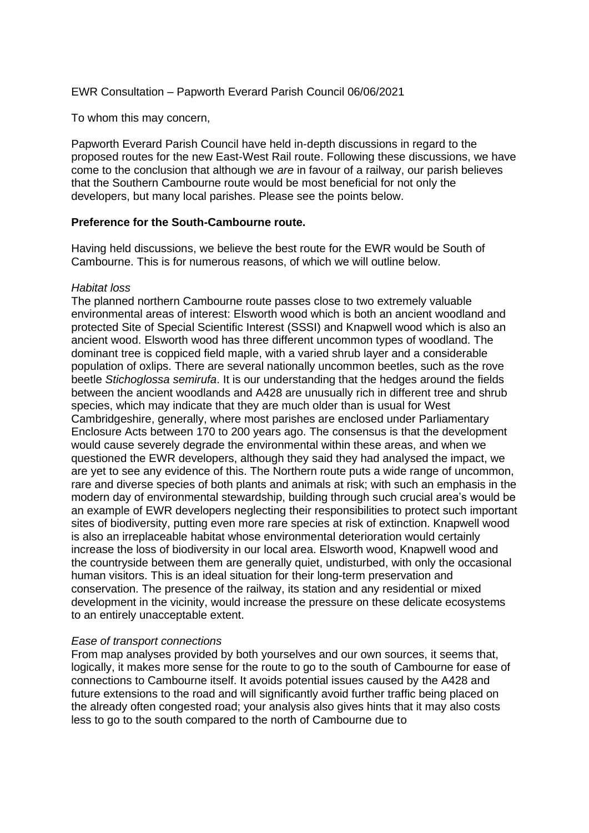EWR Consultation – Papworth Everard Parish Council 06/06/2021

To whom this may concern,

Papworth Everard Parish Council have held in-depth discussions in regard to the proposed routes for the new East-West Rail route. Following these discussions, we have come to the conclusion that although we *are* in favour of a railway, our parish believes that the Southern Cambourne route would be most beneficial for not only the developers, but many local parishes. Please see the points below.

#### **Preference for the South-Cambourne route.**

Having held discussions, we believe the best route for the EWR would be South of Cambourne. This is for numerous reasons, of which we will outline below.

#### *Habitat loss*

The planned northern Cambourne route passes close to two extremely valuable environmental areas of interest: Elsworth wood which is both an ancient woodland and protected Site of Special Scientific Interest (SSSI) and Knapwell wood which is also an ancient wood. Elsworth wood has three different uncommon types of woodland. The dominant tree is coppiced field maple, with a varied shrub layer and a considerable population of oxlips. There are several nationally uncommon beetles, such as the rove beetle *Stichoglossa semirufa*. It is our understanding that the hedges around the fields between the ancient woodlands and A428 are unusually rich in different tree and shrub species, which may indicate that they are much older than is usual for West Cambridgeshire, generally, where most parishes are enclosed under Parliamentary Enclosure Acts between 170 to 200 years ago. The consensus is that the development would cause severely degrade the environmental within these areas, and when we questioned the EWR developers, although they said they had analysed the impact, we are yet to see any evidence of this. The Northern route puts a wide range of uncommon, rare and diverse species of both plants and animals at risk; with such an emphasis in the modern day of environmental stewardship, building through such crucial area's would be an example of EWR developers neglecting their responsibilities to protect such important sites of biodiversity, putting even more rare species at risk of extinction. Knapwell wood is also an irreplaceable habitat whose environmental deterioration would certainly increase the loss of biodiversity in our local area. Elsworth wood, Knapwell wood and the countryside between them are generally quiet, undisturbed, with only the occasional human visitors. This is an ideal situation for their long-term preservation and conservation. The presence of the railway, its station and any residential or mixed development in the vicinity, would increase the pressure on these delicate ecosystems to an entirely unacceptable extent.

### *Ease of transport connections*

From map analyses provided by both yourselves and our own sources, it seems that, logically, it makes more sense for the route to go to the south of Cambourne for ease of connections to Cambourne itself. It avoids potential issues caused by the A428 and future extensions to the road and will significantly avoid further traffic being placed on the already often congested road; your analysis also gives hints that it may also costs less to go to the south compared to the north of Cambourne due to